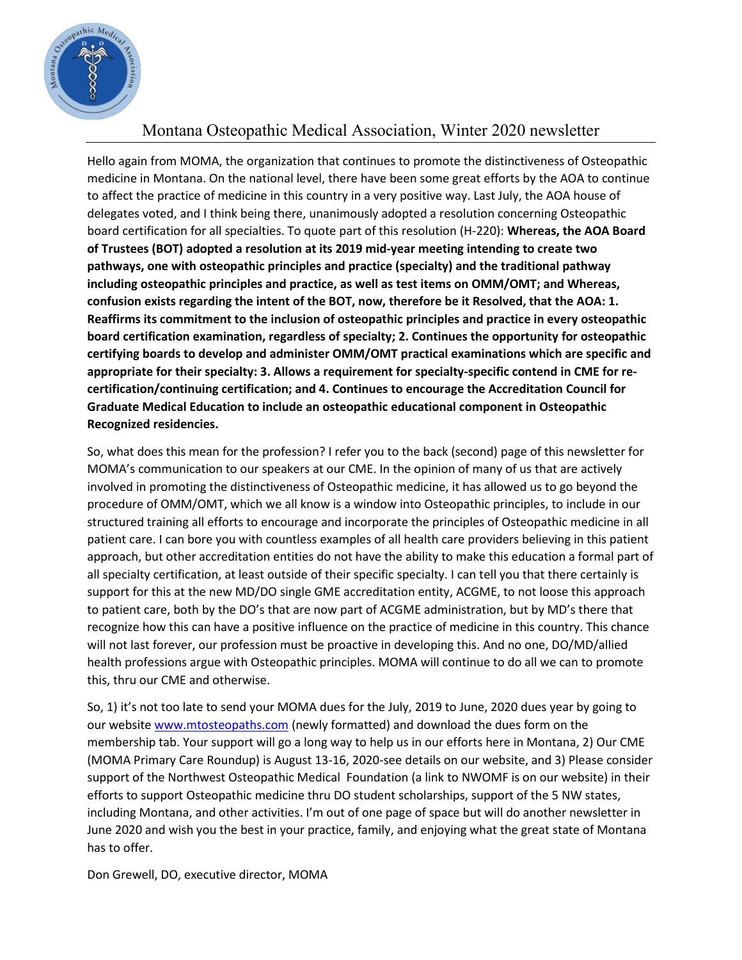

## Montana Osteopathic Medical Association, Winter 2020 newsletter

Hello again from MOMA, the organization that continues to promote the distinctiveness of Osteopathic medicine in Montana. On the national level, there have been some great efforts by the AOA to continue to affect the practice of medicine in this country in a very positive way. Last July, the AOA house of delegates voted, and I think being there, unanimously adopted a resolution concerning Osteopathic board certification for all specialties. To quote part of this resolution (H-220): **Whereas, the AOA Board of Trustees (BOT) adopted a resolution at its 2019 mid-year meeting intending to create two pathways, one with osteopathic principles and practice (specialty) and the traditional pathway including osteopathic principles and practice, as well as test items on OMM/OMT; and Whereas, confusion exists regarding the intent of the BOT, now, therefore be it Resolved, that the AOA: 1. Reaffirms its commitment to the inclusion of osteopathic principles and practice in every osteopathic board certification examination, regardless of specialty; 2. Continues the opportunity for osteopathic certifying boards to develop and administer OMM/OMT practical examinations which are specific and appropriate for their specialty: 3. Allows a requirement for specialty-specific contend in CME for recertification/continuing certification; and 4. Continues to encourage the Accreditation Council for Graduate Medical Education to include an osteopathic educational component in Osteopathic Recognized residencies.**

So, what does this mean for the profession? I refer you to the back (second) page of this newsletter for MOMA's communication to our speakers at our CME. In the opinion of many of us that are actively involved in promoting the distinctiveness of Osteopathic medicine, it has allowed us to go beyond the procedure of OMM/OMT, which we all know is a window into Osteopathic principles, to include in our structured training all efforts to encourage and incorporate the principles of Osteopathic medicine in all patient care. I can bore you with countless examples of all health care providers believing in this patient approach, but other accreditation entities do not have the ability to make this education a formal part of all specialty certification, at least outside of their specific specialty. I can tell you that there certainly is support for this at the new MD/DO single GME accreditation entity, ACGME, to not loose this approach to patient care, both by the DO's that are now part of ACGME administration, but by MD's there that recognize how this can have a positive influence on the practice of medicine in this country. This chance will not last forever, our profession must be proactive in developing this. And no one, DO/MD/allied health professions argue with Osteopathic principles. MOMA will continue to do all we can to promote this, thru our CME and otherwise.

So, 1) it's not too late to send your MOMA dues for the July, 2019 to June, 2020 dues year by going to our websit[e www.mtosteopaths.com](https://www.mtosteopaths.com/) (newly formatted) and download the dues form on the membership tab. Your support will go a long way to help us in our efforts here in Montana, 2) Our CME (MOMA Primary Care Roundup) is August 13-16, 2020-see details on our website, and 3) Please consider support of the Northwest Osteopathic Medical Foundation (a link to NWOMF is on our website) in their efforts to support Osteopathic medicine thru DO student scholarships, support of the 5 NW states, including Montana, and other activities. I'm out of one page of space but will do another newsletter in June 2020 and wish you the best in your practice, family, and enjoying what the great state of Montana has to offer.

Don Grewell, DO, executive director, MOMA